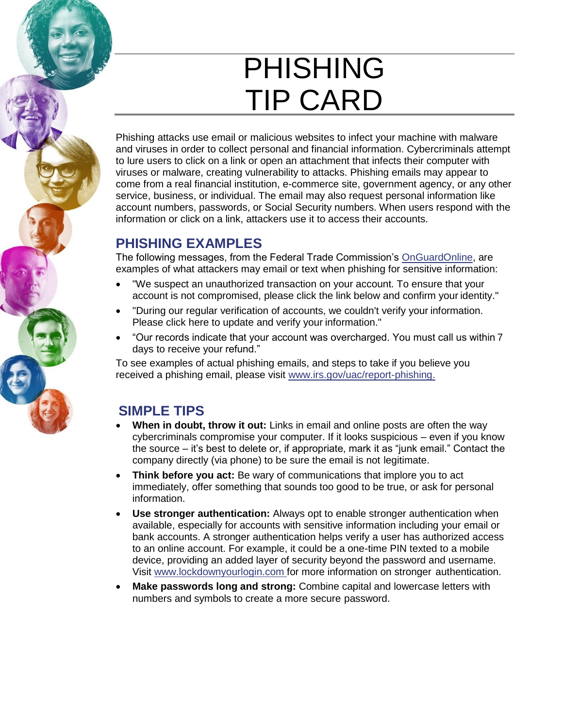## PHISHING TIP CARD

Phishing attacks use email or malicious websites to infect your machine with malware and viruses in order to collect personal and financial information. Cybercriminals attempt to lure users to click on a link or open an attachment that infects their computer with viruses or malware, creating vulnerability to attacks. Phishing emails may appear to come from a real financial institution, e-commerce site, government agency, or any other service, business, or individual. The email may also request personal information like account numbers, passwords, or Social Security numbers. When users respond with the information or click on a link, attackers use it to access their accounts.

## **PHISHING EXAMPLES**

The following messages, from the Federal Trade Commission's [OnGuardOnline,](https://pmev2.bah.com/ecs/stopthinkconnect/2015%20Toolkits/2015%20New%20Tip%20Cards/ftc.gov/onguardonline) are examples of what attackers may email or text when phishing for sensitive information:

- "We suspect an unauthorized transaction on your account. To ensure that your account is not compromised, please click the link below and confirm your identity."
- "During our regular verification of accounts, we couldn't verify your information. Please click here to update and verify your information."
- "Our records indicate that your account was overcharged. You must call us within 7 days to receive your refund."

To see examples of actual phishing emails, and steps to take if you believe you received a phishing email, please visit [www.irs.gov/uac/report-phishing.](https://www.irs.gov/uac/report-phishing)

## **SIMPLE TIPS**

- **When in doubt, throw it out:** Links in email and online posts are often the way cybercriminals compromise your computer. If it looks suspicious – even if you know the source – it's best to delete or, if appropriate, mark it as "junk email." Contact the company directly (via phone) to be sure the email is not legitimate.
- **Think before you act:** Be wary of communications that implore you to act immediately, offer something that sounds too good to be true, or ask for personal information.
- **Use stronger authentication:** Always opt to enable stronger authentication when available, especially for accounts with sensitive information including your email or bank accounts. A stronger authentication helps verify a user has authorized access to an online account. For example, it could be a one-time PIN texted to a mobile device, providing an added layer of security beyond the password and username. Visit [www.lockdownyourlogin.com f](http://www.lockdownyourlogin.com/)or more information on stronger authentication.
- **Make passwords long and strong:** Combine capital and lowercase letters with numbers and symbols to create a more secure password.